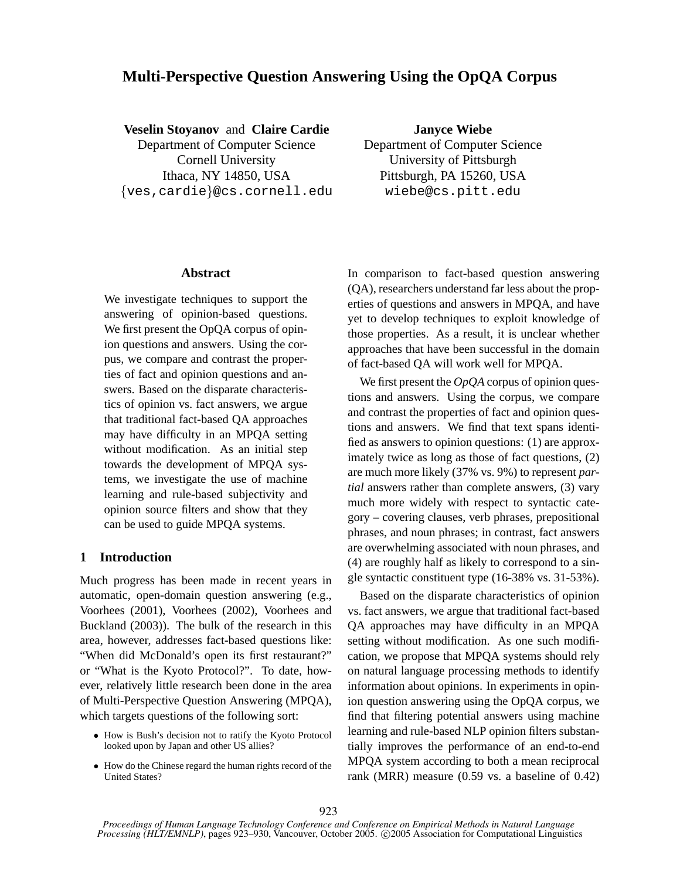# **Multi-Perspective Question Answering Using the OpQA Corpus**

### **Veselin Stoyanov** and **Claire Cardie**

Department of Computer Science Cornell University Ithaca, NY 14850, USA {ves,cardie}@cs.cornell.edu

**Janyce Wiebe** Department of Computer Science University of Pittsburgh Pittsburgh, PA 15260, USA wiebe@cs.pitt.edu

### **Abstract**

We investigate techniques to support the answering of opinion-based questions. We first present the OpQA corpus of opinion questions and answers. Using the corpus, we compare and contrast the properties of fact and opinion questions and answers. Based on the disparate characteristics of opinion vs. fact answers, we argue that traditional fact-based QA approaches may have difficulty in an MPQA setting without modification. As an initial step towards the development of MPQA systems, we investigate the use of machine learning and rule-based subjectivity and opinion source filters and show that they can be used to guide MPQA systems.

### **1 Introduction**

Much progress has been made in recent years in automatic, open-domain question answering (e.g., Voorhees (2001), Voorhees (2002), Voorhees and Buckland (2003)). The bulk of the research in this area, however, addresses fact-based questions like: "When did McDonald's open its first restaurant?" or "What is the Kyoto Protocol?". To date, however, relatively little research been done in the area of Multi-Perspective Question Answering (MPQA), which targets questions of the following sort:

- How is Bush's decision not to ratify the Kyoto Protocol looked upon by Japan and other US allies?
- How do the Chinese regard the human rights record of the United States?

In comparison to fact-based question answering (QA), researchers understand far less about the properties of questions and answers in MPQA, and have yet to develop techniques to exploit knowledge of those properties. As a result, it is unclear whether approaches that have been successful in the domain of fact-based QA will work well for MPQA.

We first present the *OpQA* corpus of opinion questions and answers. Using the corpus, we compare and contrast the properties of fact and opinion questions and answers. We find that text spans identified as answers to opinion questions: (1) are approximately twice as long as those of fact questions, (2) are much more likely (37% vs. 9%) to represent *partial* answers rather than complete answers, (3) vary much more widely with respect to syntactic category – covering clauses, verb phrases, prepositional phrases, and noun phrases; in contrast, fact answers are overwhelming associated with noun phrases, and (4) are roughly half as likely to correspond to a single syntactic constituent type (16-38% vs. 31-53%).

Based on the disparate characteristics of opinion vs. fact answers, we argue that traditional fact-based QA approaches may have difficulty in an MPQA setting without modification. As one such modification, we propose that MPQA systems should rely on natural language processing methods to identify information about opinions. In experiments in opinion question answering using the OpQA corpus, we find that filtering potential answers using machine learning and rule-based NLP opinion filters substantially improves the performance of an end-to-end MPQA system according to both a mean reciprocal rank (MRR) measure (0.59 vs. a baseline of 0.42)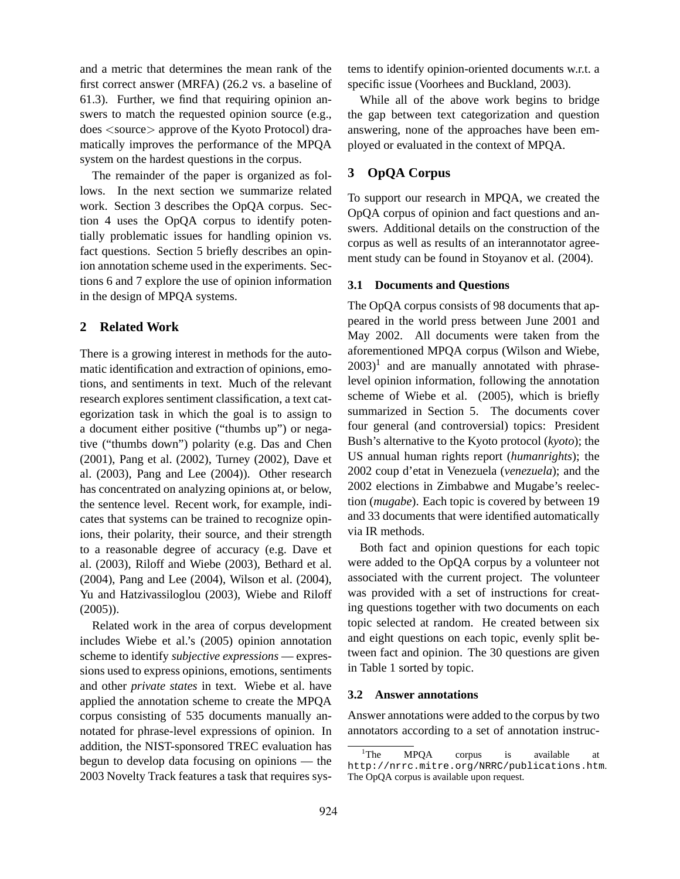and a metric that determines the mean rank of the first correct answer (MRFA) (26.2 vs. a baseline of 61.3). Further, we find that requiring opinion answers to match the requested opinion source (e.g., does <source> approve of the Kyoto Protocol) dramatically improves the performance of the MPQA system on the hardest questions in the corpus.

The remainder of the paper is organized as follows. In the next section we summarize related work. Section 3 describes the OpQA corpus. Section 4 uses the OpQA corpus to identify potentially problematic issues for handling opinion vs. fact questions. Section 5 briefly describes an opinion annotation scheme used in the experiments. Sections 6 and 7 explore the use of opinion information in the design of MPQA systems.

### **2 Related Work**

There is a growing interest in methods for the automatic identification and extraction of opinions, emotions, and sentiments in text. Much of the relevant research explores sentiment classification, a text categorization task in which the goal is to assign to a document either positive ("thumbs up") or negative ("thumbs down") polarity (e.g. Das and Chen (2001), Pang et al. (2002), Turney (2002), Dave et al. (2003), Pang and Lee (2004)). Other research has concentrated on analyzing opinions at, or below, the sentence level. Recent work, for example, indicates that systems can be trained to recognize opinions, their polarity, their source, and their strength to a reasonable degree of accuracy (e.g. Dave et al. (2003), Riloff and Wiebe (2003), Bethard et al. (2004), Pang and Lee (2004), Wilson et al. (2004), Yu and Hatzivassiloglou (2003), Wiebe and Riloff (2005)).

Related work in the area of corpus development includes Wiebe et al.'s (2005) opinion annotation scheme to identify *subjective expressions* — expressions used to express opinions, emotions, sentiments and other *private states* in text. Wiebe et al. have applied the annotation scheme to create the MPQA corpus consisting of 535 documents manually annotated for phrase-level expressions of opinion. In addition, the NIST-sponsored TREC evaluation has begun to develop data focusing on opinions — the 2003 Novelty Track features a task that requires systems to identify opinion-oriented documents w.r.t. a specific issue (Voorhees and Buckland, 2003).

While all of the above work begins to bridge the gap between text categorization and question answering, none of the approaches have been employed or evaluated in the context of MPQA.

### **3 OpQA Corpus**

To support our research in MPQA, we created the OpQA corpus of opinion and fact questions and answers. Additional details on the construction of the corpus as well as results of an interannotator agreement study can be found in Stoyanov et al. (2004).

#### **3.1 Documents and Questions**

The OpQA corpus consists of 98 documents that appeared in the world press between June 2001 and May 2002. All documents were taken from the aforementioned MPQA corpus (Wilson and Wiebe,  $(2003)^1$  and are manually annotated with phraselevel opinion information, following the annotation scheme of Wiebe et al. (2005), which is briefly summarized in Section 5. The documents cover four general (and controversial) topics: President Bush's alternative to the Kyoto protocol (*kyoto*); the US annual human rights report (*humanrights*); the 2002 coup d'etat in Venezuela (*venezuela*); and the 2002 elections in Zimbabwe and Mugabe's reelection (*mugabe*). Each topic is covered by between 19 and 33 documents that were identified automatically via IR methods.

Both fact and opinion questions for each topic were added to the OpQA corpus by a volunteer not associated with the current project. The volunteer was provided with a set of instructions for creating questions together with two documents on each topic selected at random. He created between six and eight questions on each topic, evenly split between fact and opinion. The 30 questions are given in Table 1 sorted by topic.

#### **3.2 Answer annotations**

Answer annotations were added to the corpus by two annotators according to a set of annotation instruc-

<sup>&</sup>lt;sup>1</sup>The MPQA corpus is available at http://nrrc.mitre.org/NRRC/publications.htm. The OpQA corpus is available upon request.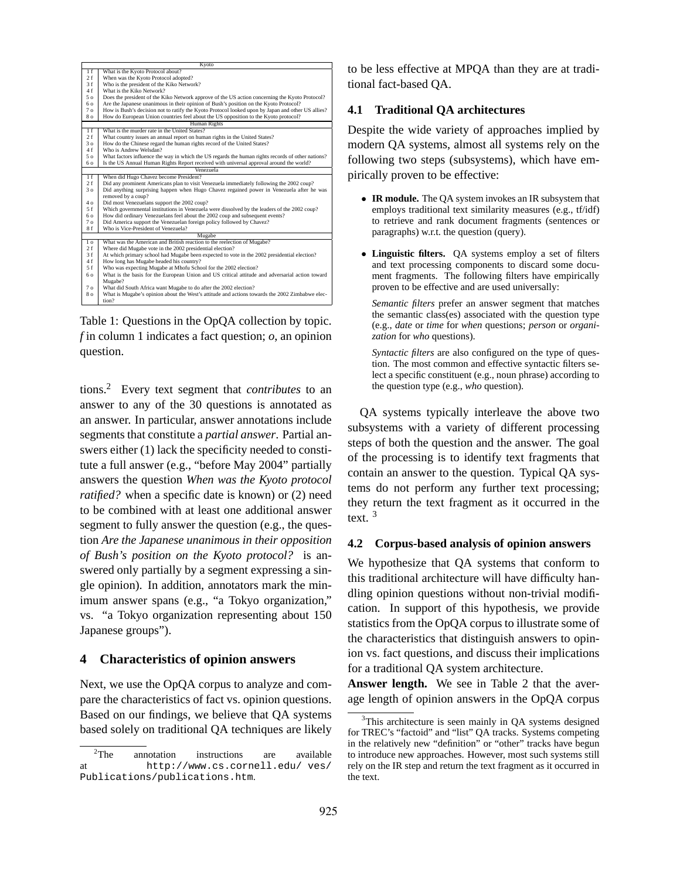|                | Kyoto                                                                                             |  |  |  |  |  |  |  |
|----------------|---------------------------------------------------------------------------------------------------|--|--|--|--|--|--|--|
| 1f             | What is the Kyoto Protocol about?                                                                 |  |  |  |  |  |  |  |
| 2. f           | When was the Kyoto Protocol adopted?                                                              |  |  |  |  |  |  |  |
| 3f             | Who is the president of the Kiko Network?                                                         |  |  |  |  |  |  |  |
| 4f             | What is the Kiko Network?                                                                         |  |  |  |  |  |  |  |
| 5 0            | Does the president of the Kiko Network approve of the US action concerning the Kyoto Protocol?    |  |  |  |  |  |  |  |
| 60             | Are the Japanese unanimous in their opinion of Bush's position on the Kyoto Protocol?             |  |  |  |  |  |  |  |
| 7 <sub>o</sub> | How is Bush's decision not to ratify the Kyoto Protocol looked upon by Japan and other US allies? |  |  |  |  |  |  |  |
| 80             | How do European Union countries feel about the US opposition to the Kyoto protocol?               |  |  |  |  |  |  |  |
|                | Human Rights                                                                                      |  |  |  |  |  |  |  |
| 1f             | What is the murder rate in the United States?                                                     |  |  |  |  |  |  |  |
| 2f             | What country issues an annual report on human rights in the United States?                        |  |  |  |  |  |  |  |
| 30             | How do the Chinese regard the human rights record of the United States?                           |  |  |  |  |  |  |  |
| 4f             | Who is Andrew Welsdan?                                                                            |  |  |  |  |  |  |  |
| 5 o            | What factors influence the way in which the US regards the human rights records of other nations? |  |  |  |  |  |  |  |
| 60             | Is the US Annual Human Rights Report received with universal approval around the world?           |  |  |  |  |  |  |  |
|                | Venezuela                                                                                         |  |  |  |  |  |  |  |
| 1f             | When did Hugo Chavez become President?                                                            |  |  |  |  |  |  |  |
| 2. f           | Did any prominent Americans plan to visit Venezuela immediately following the 2002 coup?          |  |  |  |  |  |  |  |
| 30             | Did anything surprising happen when Hugo Chavez regained power in Venezuela after he was          |  |  |  |  |  |  |  |
|                | removed by a coup?                                                                                |  |  |  |  |  |  |  |
| 4 o            | Did most Venezuelans support the 2002 coup?                                                       |  |  |  |  |  |  |  |
| 5f             | Which governmental institutions in Venezuela were dissolved by the leaders of the 2002 coup?      |  |  |  |  |  |  |  |
| 6 0            | How did ordinary Venezuelans feel about the 2002 coup and subsequent events?                      |  |  |  |  |  |  |  |
| 7 <sub>0</sub> | Did America support the Venezuelan foreign policy followed by Chavez?                             |  |  |  |  |  |  |  |
| 8 f            | Who is Vice-President of Venezuela?                                                               |  |  |  |  |  |  |  |
|                | Mugabe                                                                                            |  |  |  |  |  |  |  |
| 1 <sub>o</sub> | What was the American and British reaction to the reelection of Mugabe?                           |  |  |  |  |  |  |  |
| 2. f           | Where did Mugabe vote in the 2002 presidential election?                                          |  |  |  |  |  |  |  |
| 3f             | At which primary school had Mugabe been expected to vote in the 2002 presidential election?       |  |  |  |  |  |  |  |
| 4f             | How long has Mugabe headed his country?                                                           |  |  |  |  |  |  |  |
| 5f             | Who was expecting Mugabe at Mhofu School for the 2002 election?                                   |  |  |  |  |  |  |  |
| 60             | What is the basis for the European Union and US critical attitude and adversarial action toward   |  |  |  |  |  |  |  |
|                | Mugabe?                                                                                           |  |  |  |  |  |  |  |
| 7 <sub>o</sub> | What did South Africa want Mugabe to do after the 2002 election?                                  |  |  |  |  |  |  |  |
| 80             | What is Mugabe's opinion about the West's attitude and actions towards the 2002 Zimbabwe elec-    |  |  |  |  |  |  |  |
|                | tion?                                                                                             |  |  |  |  |  |  |  |
|                |                                                                                                   |  |  |  |  |  |  |  |

Table 1: Questions in the OpQA collection by topic. *f* in column 1 indicates a fact question; *o*, an opinion question.

tions.<sup>2</sup> Every text segment that *contributes* to an answer to any of the 30 questions is annotated as an answer. In particular, answer annotations include segments that constitute a *partial answer*. Partial answers either (1) lack the specificity needed to constitute a full answer (e.g., "before May 2004" partially answers the question *When was the Kyoto protocol ratified?* when a specific date is known) or (2) need to be combined with at least one additional answer segment to fully answer the question (e.g., the question *Are the Japanese unanimous in their opposition of Bush's position on the Kyoto protocol?* is answered only partially by a segment expressing a single opinion). In addition, annotators mark the minimum answer spans (e.g., "a Tokyo organization," vs. "a Tokyo organization representing about 150 Japanese groups").

## **4 Characteristics of opinion answers**

Next, we use the OpQA corpus to analyze and compare the characteristics of fact vs. opinion questions. Based on our findings, we believe that QA systems based solely on traditional QA techniques are likely

to be less effective at MPQA than they are at traditional fact-based QA.

### **4.1 Traditional QA architectures**

Despite the wide variety of approaches implied by modern QA systems, almost all systems rely on the following two steps (subsystems), which have empirically proven to be effective:

- **IR module.** The QA system invokes an IR subsystem that employs traditional text similarity measures (e.g., tf/idf) to retrieve and rank document fragments (sentences or paragraphs) w.r.t. the question (query).
- **Linguistic filters.** QA systems employ a set of filters and text processing components to discard some document fragments. The following filters have empirically proven to be effective and are used universally:

*Semantic filters* prefer an answer segment that matches the semantic class(es) associated with the question type (e.g., *date* or *time* for *when* questions; *person* or *organization* for *who* questions).

*Syntactic filters* are also configured on the type of question. The most common and effective syntactic filters select a specific constituent (e.g., noun phrase) according to the question type (e.g., *who* question).

QA systems typically interleave the above two subsystems with a variety of different processing steps of both the question and the answer. The goal of the processing is to identify text fragments that contain an answer to the question. Typical QA systems do not perform any further text processing; they return the text fragment as it occurred in the text. <sup>3</sup>

### **4.2 Corpus-based analysis of opinion answers**

We hypothesize that QA systems that conform to this traditional architecture will have difficulty handling opinion questions without non-trivial modification. In support of this hypothesis, we provide statistics from the OpQA corpus to illustrate some of the characteristics that distinguish answers to opinion vs. fact questions, and discuss their implications for a traditional QA system architecture.

**Answer length.** We see in Table 2 that the average length of opinion answers in the OpQA corpus

<sup>&</sup>lt;sup>2</sup>The annotation instructions are available at http://www.cs.cornell.edu/ ves/ Publications/publications.htm.

 $3$ This architecture is seen mainly in QA systems designed for TREC's "factoid" and "list" QA tracks. Systems competing in the relatively new "definition" or "other" tracks have begun to introduce new approaches. However, most such systems still rely on the IR step and return the text fragment as it occurred in the text.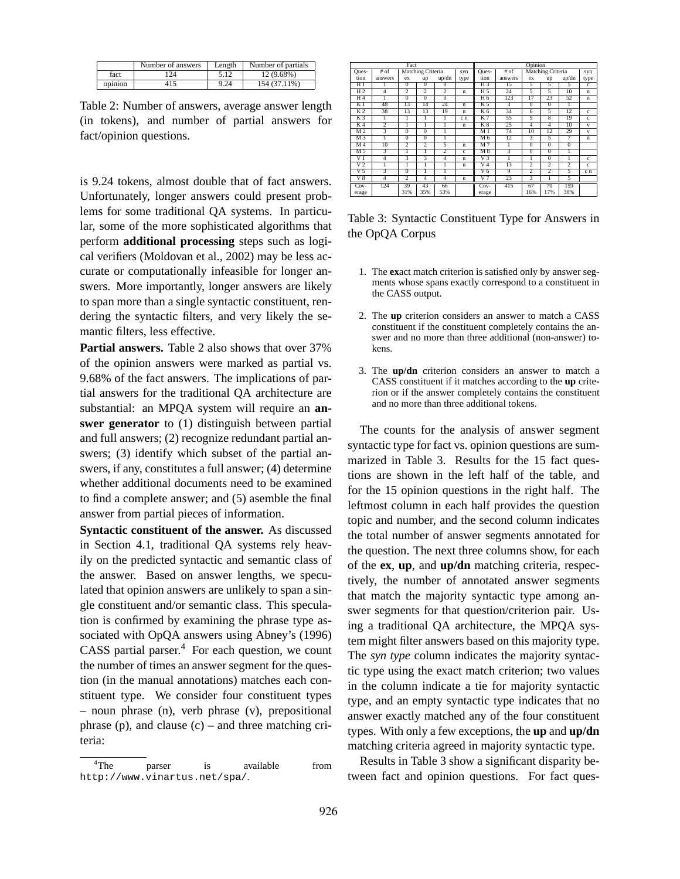|         | Number of answers | Length | Number of partials |
|---------|-------------------|--------|--------------------|
| fact    | 24                |        | 12 (9.68%)         |
| opinion |                   | 9.24   | 154 (37.11%)       |

Table 2: Number of answers, average answer length (in tokens), and number of partial answers for fact/opinion questions.

is 9.24 tokens, almost double that of fact answers. Unfortunately, longer answers could present problems for some traditional QA systems. In particular, some of the more sophisticated algorithms that perform **additional processing** steps such as logical verifiers (Moldovan et al., 2002) may be less accurate or computationally infeasible for longer answers. More importantly, longer answers are likely to span more than a single syntactic constituent, rendering the syntactic filters, and very likely the semantic filters, less effective.

**Partial answers.** Table 2 also shows that over 37% of the opinion answers were marked as partial vs. 9.68% of the fact answers. The implications of partial answers for the traditional QA architecture are substantial: an MPQA system will require an **answer generator** to (1) distinguish between partial and full answers; (2) recognize redundant partial answers; (3) identify which subset of the partial answers, if any, constitutes a full answer; (4) determine whether additional documents need to be examined to find a complete answer; and (5) asemble the final answer from partial pieces of information.

**Syntactic constituent of the answer.** As discussed in Section 4.1, traditional QA systems rely heavily on the predicted syntactic and semantic class of the answer. Based on answer lengths, we speculated that opinion answers are unlikely to span a single constituent and/or semantic class. This speculation is confirmed by examining the phrase type associated with OpQA answers using Abney's (1996) CASS partial parser. $4$  For each question, we count the number of times an answer segment for the question (in the manual annotations) matches each constituent type. We consider four constituent types – noun phrase (n), verb phrase (v), prepositional phrase (p), and clause  $(c)$  – and three matching criteria:

|                 | Fact           |                 |                   |                | Opinion      |                |                         |                           |                         |                 |              |
|-----------------|----------------|-----------------|-------------------|----------------|--------------|----------------|-------------------------|---------------------------|-------------------------|-----------------|--------------|
| Ques-           | # of           |                 | Matching Criteria |                | syn          | Ques-          | $#$ of                  |                           | Matching Criteria       |                 | syn          |
| tion            | answers        | ex              | up                | up/dn          | type         | tion           | answers                 | ex                        | up                      | up/dn           | type         |
| H1              |                | $\overline{0}$  | $\overline{0}$    | $\overline{0}$ |              | $H_3$          | 15                      | 5                         | $\overline{5}$          | 5               | $\mathbf{c}$ |
| H <sub>2</sub>  | 4              | $\overline{2}$  | $\overline{2}$    | $\overline{2}$ | $\mathbf n$  | H 5            | 24                      | 5                         | 5                       | 10              | $\mathbf n$  |
| H <sub>4</sub>  |                | $\overline{0}$  | $\overline{0}$    | $\overline{0}$ |              | H 6            | 123                     | 17                        | $\overline{23}$         | 52              | $\mathbf n$  |
| K <sub>1</sub>  | 48             | $\overline{13}$ | 14                | 24             | $\mathbf n$  | K 5            | $\overline{\mathbf{3}}$ | $\overline{0}$            | $\overline{0}$          | ı               |              |
| K <sub>2</sub>  | 38             | $\overline{13}$ | 13                | 19             | $\mathbf n$  | K <sub>6</sub> | 34                      | $\overline{6}$            | 3                       | $\overline{12}$ | c            |
| K <sub>3</sub>  |                |                 |                   |                | c n          | K <sub>7</sub> | 55                      | 9                         | $\overline{\mathbf{x}}$ | 19              | c            |
| K <sub>4</sub>  | $\overline{2}$ | 1               |                   |                | $\mathbf n$  | K8             | 25                      | $\overline{4}$            | 4                       | 10              | v            |
| $\overline{M2}$ | 3              | $\Omega$        | $\overline{0}$    |                |              | M <sub>1</sub> | 74                      | 10                        | 12                      | 29              | $\mathbf{v}$ |
| M <sub>3</sub>  |                | $\overline{0}$  | $\overline{0}$    |                |              | M <sub>6</sub> | 12                      | 3                         | 5                       | 7               | $\mathbf n$  |
| M <sub>4</sub>  | 10             | $\overline{2}$  | 2                 | 5              | $\mathbf n$  | M <sub>7</sub> | 1                       | $\overline{0}$            | $\overline{0}$          | $\overline{0}$  |              |
| M <sub>5</sub>  | 3              |                 |                   | $\overline{2}$ | c            | M8             | 3                       | $\Omega$                  | $\Omega$                | 1               |              |
| $_{\rm V1}$     | 4              | 3               | 3                 | $\overline{4}$ | $\mathbf n$  | V3             | ī                       |                           | $\Omega$                |                 | c            |
| V2              |                |                 |                   |                | $\mathbf n$  | V <sub>4</sub> | 13                      | $\overline{\mathcal{L}}$  | $\overline{2}$          | $\overline{2}$  | c            |
| V <sub>5</sub>  | 3              | $\Omega$        | 1                 |                |              | V <sub>6</sub> | 9                       | $\overline{\mathfrak{D}}$ | $\overline{2}$          | 5               | c n          |
| V <sub>8</sub>  | $\overline{4}$ | $\overline{c}$  | $\overline{4}$    | $\overline{4}$ | $\mathbf{n}$ | V <sub>7</sub> | 23                      | 3                         |                         | 5               |              |
| $Cov-$          | 124            | 39              | 43                | 66             |              | Cov-           | 415                     | 67                        | 70                      | 159             |              |
| erage           |                | 31%             | 35%               | 53%            |              | erage          |                         | 16%                       | 17%                     | 38%             |              |

Table 3: Syntactic Constituent Type for Answers in the OpQA Corpus

- 1. The **ex**act match criterion is satisfied only by answer segments whose spans exactly correspond to a constituent in the CASS output.
- 2. The **up** criterion considers an answer to match a CASS constituent if the constituent completely contains the answer and no more than three additional (non-answer) tokens.
- 3. The **up/dn** criterion considers an answer to match a CASS constituent if it matches according to the **up** criterion or if the answer completely contains the constituent and no more than three additional tokens.

The counts for the analysis of answer segment syntactic type for fact vs. opinion questions are summarized in Table 3. Results for the 15 fact questions are shown in the left half of the table, and for the 15 opinion questions in the right half. The leftmost column in each half provides the question topic and number, and the second column indicates the total number of answer segments annotated for the question. The next three columns show, for each of the **ex**, **up**, and **up/dn** matching criteria, respectively, the number of annotated answer segments that match the majority syntactic type among answer segments for that question/criterion pair. Using a traditional QA architecture, the MPQA system might filter answers based on this majority type. The *syn type* column indicates the majority syntactic type using the exact match criterion; two values in the column indicate a tie for majority syntactic type, and an empty syntactic type indicates that no answer exactly matched any of the four constituent types. With only a few exceptions, the **up** and **up/dn** matching criteria agreed in majority syntactic type.

Results in Table 3 show a significant disparity between fact and opinion questions. For fact ques-

<sup>&</sup>lt;sup>4</sup>The parser is available from http://www.vinartus.net/spa/.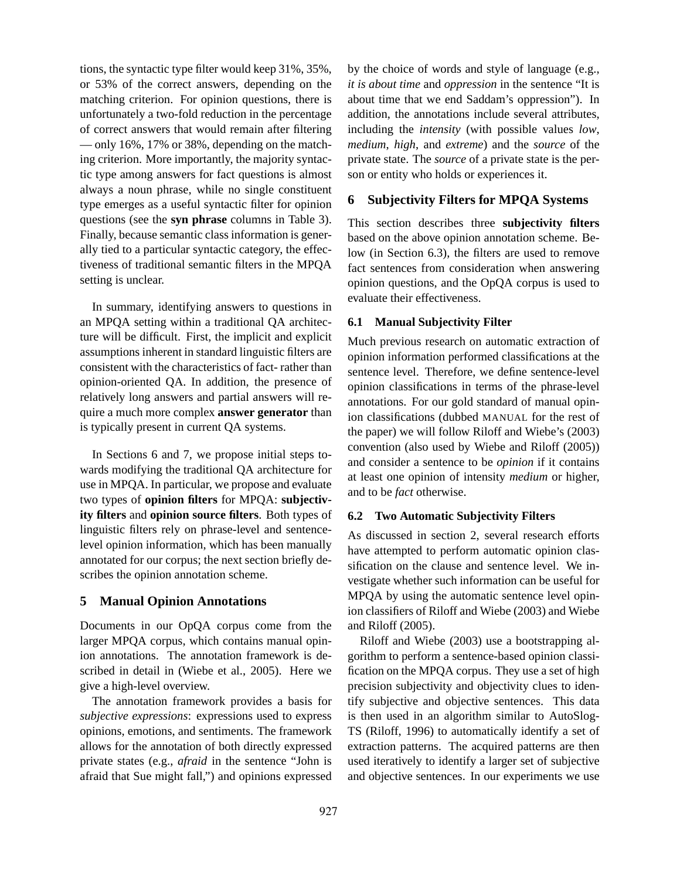tions, the syntactic type filter would keep 31%, 35%, or 53% of the correct answers, depending on the matching criterion. For opinion questions, there is unfortunately a two-fold reduction in the percentage of correct answers that would remain after filtering — only 16%, 17% or 38%, depending on the matching criterion. More importantly, the majority syntactic type among answers for fact questions is almost always a noun phrase, while no single constituent type emerges as a useful syntactic filter for opinion questions (see the **syn phrase** columns in Table 3). Finally, because semantic class information is generally tied to a particular syntactic category, the effectiveness of traditional semantic filters in the MPQA setting is unclear.

In summary, identifying answers to questions in an MPQA setting within a traditional QA architecture will be difficult. First, the implicit and explicit assumptions inherent in standard linguistic filters are consistent with the characteristics of fact- rather than opinion-oriented QA. In addition, the presence of relatively long answers and partial answers will require a much more complex **answer generator** than is typically present in current QA systems.

In Sections 6 and 7, we propose initial steps towards modifying the traditional QA architecture for use in MPQA. In particular, we propose and evaluate two types of **opinion filters** for MPQA: **subjectivity filters** and **opinion source filters**. Both types of linguistic filters rely on phrase-level and sentencelevel opinion information, which has been manually annotated for our corpus; the next section briefly describes the opinion annotation scheme.

### **5 Manual Opinion Annotations**

Documents in our OpQA corpus come from the larger MPQA corpus, which contains manual opinion annotations. The annotation framework is described in detail in (Wiebe et al., 2005). Here we give a high-level overview.

The annotation framework provides a basis for *subjective expressions*: expressions used to express opinions, emotions, and sentiments. The framework allows for the annotation of both directly expressed private states (e.g., *afraid* in the sentence "John is afraid that Sue might fall,") and opinions expressed

by the choice of words and style of language (e.g., *it is about time* and *oppression* in the sentence "It is about time that we end Saddam's oppression"). In addition, the annotations include several attributes, including the *intensity* (with possible values *low*, *medium*, *high*, and *extreme*) and the *source* of the private state. The *source* of a private state is the person or entity who holds or experiences it.

### **6 Subjectivity Filters for MPQA Systems**

This section describes three **subjectivity filters** based on the above opinion annotation scheme. Below (in Section 6.3), the filters are used to remove fact sentences from consideration when answering opinion questions, and the OpQA corpus is used to evaluate their effectiveness.

### **6.1 Manual Subjectivity Filter**

Much previous research on automatic extraction of opinion information performed classifications at the sentence level. Therefore, we define sentence-level opinion classifications in terms of the phrase-level annotations. For our gold standard of manual opinion classifications (dubbed MANUAL for the rest of the paper) we will follow Riloff and Wiebe's (2003) convention (also used by Wiebe and Riloff (2005)) and consider a sentence to be *opinion* if it contains at least one opinion of intensity *medium* or higher, and to be *fact* otherwise.

#### **6.2 Two Automatic Subjectivity Filters**

As discussed in section 2, several research efforts have attempted to perform automatic opinion classification on the clause and sentence level. We investigate whether such information can be useful for MPQA by using the automatic sentence level opinion classifiers of Riloff and Wiebe (2003) and Wiebe and Riloff (2005).

Riloff and Wiebe (2003) use a bootstrapping algorithm to perform a sentence-based opinion classification on the MPQA corpus. They use a set of high precision subjectivity and objectivity clues to identify subjective and objective sentences. This data is then used in an algorithm similar to AutoSlog-TS (Riloff, 1996) to automatically identify a set of extraction patterns. The acquired patterns are then used iteratively to identify a larger set of subjective and objective sentences. In our experiments we use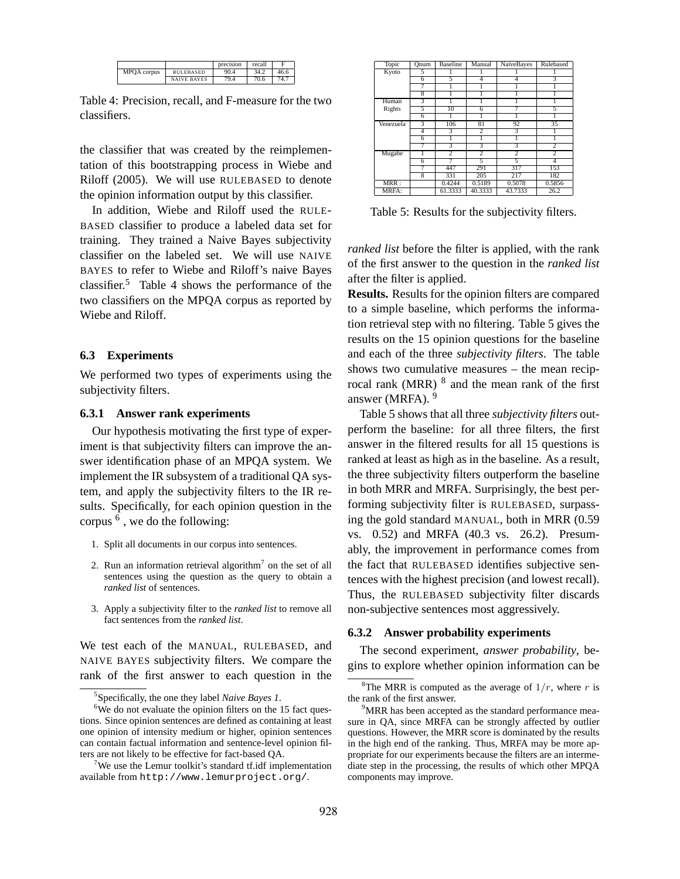|             |                    | precision | recall |      |
|-------------|--------------------|-----------|--------|------|
| MPQA corpus | RULEBASED          | 90.4      | 34.2   | 46.6 |
|             | <b>NAIVE BAYES</b> | 79.4      | 70.6   | 74.7 |

Table 4: Precision, recall, and F-measure for the two classifiers.

the classifier that was created by the reimplementation of this bootstrapping process in Wiebe and Riloff (2005). We will use RULEBASED to denote the opinion information output by this classifier.

In addition, Wiebe and Riloff used the RULE-BASED classifier to produce a labeled data set for training. They trained a Naive Bayes subjectivity classifier on the labeled set. We will use NAIVE BAYES to refer to Wiebe and Riloff's naive Bayes classifier.<sup>5</sup> Table 4 shows the performance of the two classifiers on the MPQA corpus as reported by Wiebe and Riloff.

### **6.3 Experiments**

We performed two types of experiments using the subjectivity filters.

#### **6.3.1 Answer rank experiments**

Our hypothesis motivating the first type of experiment is that subjectivity filters can improve the answer identification phase of an MPQA system. We implement the IR subsystem of a traditional QA system, and apply the subjectivity filters to the IR results. Specifically, for each opinion question in the corpus  $<sup>6</sup>$ , we do the following:</sup>

- 1. Split all documents in our corpus into sentences.
- 2. Run an information retrieval algorithm<sup>7</sup> on the set of all sentences using the question as the query to obtain a *ranked list* of sentences.
- 3. Apply a subjectivity filter to the *ranked list* to remove all fact sentences from the *ranked list*.

We test each of the MANUAL, RULEBASED, and NAIVE BAYES subjectivity filters. We compare the rank of the first answer to each question in the

| Topic     | Onum           | <b>Baseline</b> | Manual         | <b>NaiveBayes</b> | Rulebased      |
|-----------|----------------|-----------------|----------------|-------------------|----------------|
| Kyoto     | 5              |                 |                |                   |                |
|           | 6              | 5               | 4              |                   | 3              |
|           |                |                 |                |                   |                |
|           | 8              |                 |                |                   |                |
| Human     | 3              |                 |                |                   |                |
| Rights    | 5              | 10              | 6              |                   | 5              |
|           | $\overline{6}$ |                 |                |                   |                |
| Venezuela | 3              | 106             | 81             | 92                | 35             |
|           | 4              | 3               | 2              | 3                 |                |
|           | $\overline{6}$ |                 |                |                   |                |
|           |                | 3               | 3              | 3                 | 2              |
| Mugabe    |                | $\overline{2}$  | $\overline{2}$ | $\overline{2}$    | $\overline{2}$ |
|           | $\overline{6}$ |                 | 5              | 3                 | 4              |
|           |                | 447             | 291            | 317               | 153            |
|           | $\overline{8}$ | 331             | 205            | 217               | 182            |
| MRR:      |                | 0.4244          | 0.5189         | 0.5078            | 0.5856         |
| MRFA:     |                | 61.3333         | 40.3333        | 43.7333           | 26.2           |

Table 5: Results for the subjectivity filters.

*ranked list* before the filter is applied, with the rank of the first answer to the question in the *ranked list* after the filter is applied.

**Results.** Results for the opinion filters are compared to a simple baseline, which performs the information retrieval step with no filtering. Table 5 gives the results on the 15 opinion questions for the baseline and each of the three *subjectivity filters*. The table shows two cumulative measures – the mean reciprocal rank (MRR) <sup>8</sup> and the mean rank of the first answer (MRFA). <sup>9</sup>

Table 5 shows that all three *subjectivity filters* outperform the baseline: for all three filters, the first answer in the filtered results for all 15 questions is ranked at least as high as in the baseline. As a result, the three subjectivity filters outperform the baseline in both MRR and MRFA. Surprisingly, the best performing subjectivity filter is RULEBASED, surpassing the gold standard MANUAL, both in MRR (0.59 vs. 0.52) and MRFA (40.3 vs. 26.2). Presumably, the improvement in performance comes from the fact that RULEBASED identifies subjective sentences with the highest precision (and lowest recall). Thus, the RULEBASED subjectivity filter discards non-subjective sentences most aggressively.

#### **6.3.2 Answer probability experiments**

The second experiment, *answer probability*, begins to explore whether opinion information can be

<sup>5</sup> Specifically, the one they label *Naive Bayes 1*.

 $6$ We do not evaluate the opinion filters on the 15 fact questions. Since opinion sentences are defined as containing at least one opinion of intensity medium or higher, opinion sentences can contain factual information and sentence-level opinion filters are not likely to be effective for fact-based QA.

<sup>&</sup>lt;sup>7</sup>We use the Lemur toolkit's standard tf.idf implementation available from http://www.lemurproject.org/.

<sup>&</sup>lt;sup>8</sup>The MRR is computed as the average of  $1/r$ , where r is the rank of the first answer.

<sup>&</sup>lt;sup>9</sup>MRR has been accepted as the standard performance measure in QA, since MRFA can be strongly affected by outlier questions. However, the MRR score is dominated by the results in the high end of the ranking. Thus, MRFA may be more appropriate for our experiments because the filters are an intermediate step in the processing, the results of which other MPQA components may improve.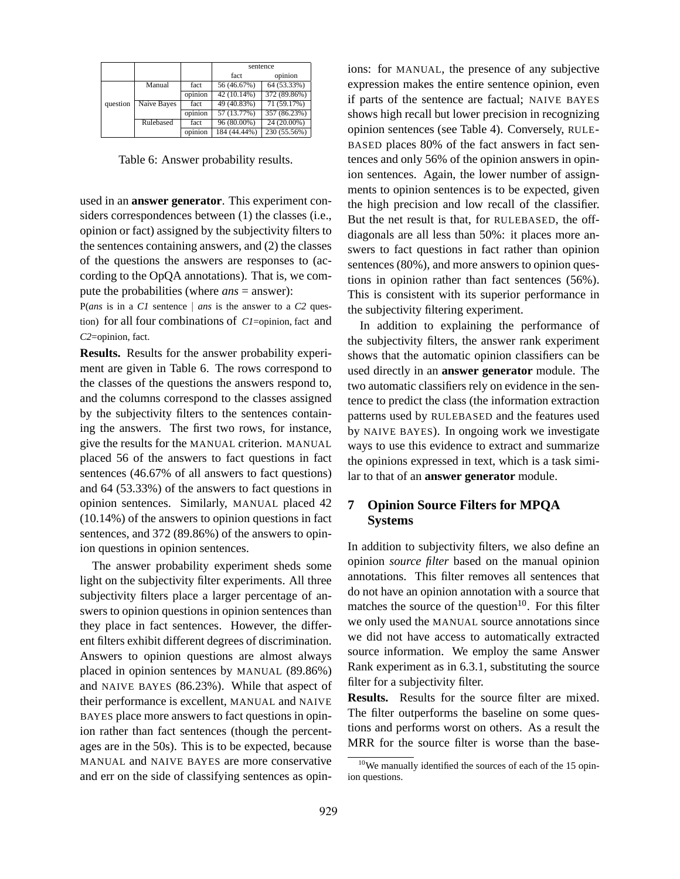|          |             |         | sentence     |              |  |
|----------|-------------|---------|--------------|--------------|--|
|          |             |         | fact         | opinion      |  |
|          | Manual      | fact    | 56 (46.67%)  | 64 (53.33%)  |  |
|          |             | opinion | 42 (10.14%)  | 372 (89.86%) |  |
| question | Naive Bayes | fact    | 49 (40.83%)  | 71 (59.17%)  |  |
|          |             | opinion | 57 (13.77%)  | 357 (86.23%) |  |
|          | Rulebased   | fact    | 96 (80.00%)  | 24 (20.00%)  |  |
|          |             | opinion | 184 (44.44%) | 230 (55.56%) |  |

Table 6: Answer probability results.

used in an **answer generator**. This experiment considers correspondences between (1) the classes (i.e., opinion or fact) assigned by the subjectivity filters to the sentences containing answers, and (2) the classes of the questions the answers are responses to (according to the OpQA annotations). That is, we compute the probabilities (where *ans* = answer):

P(*ans* is in a *C1* sentence | *ans* is the answer to a *C2* question) for all four combinations of *C1*=opinion, fact and *C2*=opinion, fact.

**Results.** Results for the answer probability experiment are given in Table 6. The rows correspond to the classes of the questions the answers respond to, and the columns correspond to the classes assigned by the subjectivity filters to the sentences containing the answers. The first two rows, for instance, give the results for the MANUAL criterion. MANUAL placed 56 of the answers to fact questions in fact sentences (46.67% of all answers to fact questions) and 64 (53.33%) of the answers to fact questions in opinion sentences. Similarly, MANUAL placed 42 (10.14%) of the answers to opinion questions in fact sentences, and 372 (89.86%) of the answers to opinion questions in opinion sentences.

The answer probability experiment sheds some light on the subjectivity filter experiments. All three subjectivity filters place a larger percentage of answers to opinion questions in opinion sentences than they place in fact sentences. However, the different filters exhibit different degrees of discrimination. Answers to opinion questions are almost always placed in opinion sentences by MANUAL (89.86%) and NAIVE BAYES (86.23%). While that aspect of their performance is excellent, MANUAL and NAIVE BAYES place more answers to fact questions in opinion rather than fact sentences (though the percentages are in the 50s). This is to be expected, because MANUAL and NAIVE BAYES are more conservative and err on the side of classifying sentences as opinions: for MANUAL, the presence of any subjective expression makes the entire sentence opinion, even if parts of the sentence are factual; NAIVE BAYES shows high recall but lower precision in recognizing opinion sentences (see Table 4). Conversely, RULE-BASED places 80% of the fact answers in fact sentences and only 56% of the opinion answers in opinion sentences. Again, the lower number of assignments to opinion sentences is to be expected, given the high precision and low recall of the classifier. But the net result is that, for RULEBASED, the offdiagonals are all less than 50%: it places more answers to fact questions in fact rather than opinion sentences (80%), and more answers to opinion questions in opinion rather than fact sentences (56%). This is consistent with its superior performance in the subjectivity filtering experiment.

In addition to explaining the performance of the subjectivity filters, the answer rank experiment shows that the automatic opinion classifiers can be used directly in an **answer generator** module. The two automatic classifiers rely on evidence in the sentence to predict the class (the information extraction patterns used by RULEBASED and the features used by NAIVE BAYES). In ongoing work we investigate ways to use this evidence to extract and summarize the opinions expressed in text, which is a task similar to that of an **answer generator** module.

# **7 Opinion Source Filters for MPQA Systems**

In addition to subjectivity filters, we also define an opinion *source filter* based on the manual opinion annotations. This filter removes all sentences that do not have an opinion annotation with a source that matches the source of the question<sup>10</sup>. For this filter we only used the MANUAL source annotations since we did not have access to automatically extracted source information. We employ the same Answer Rank experiment as in 6.3.1, substituting the source filter for a subjectivity filter.

**Results.** Results for the source filter are mixed. The filter outperforms the baseline on some questions and performs worst on others. As a result the MRR for the source filter is worse than the base-

 $10$ We manually identified the sources of each of the 15 opinion questions.